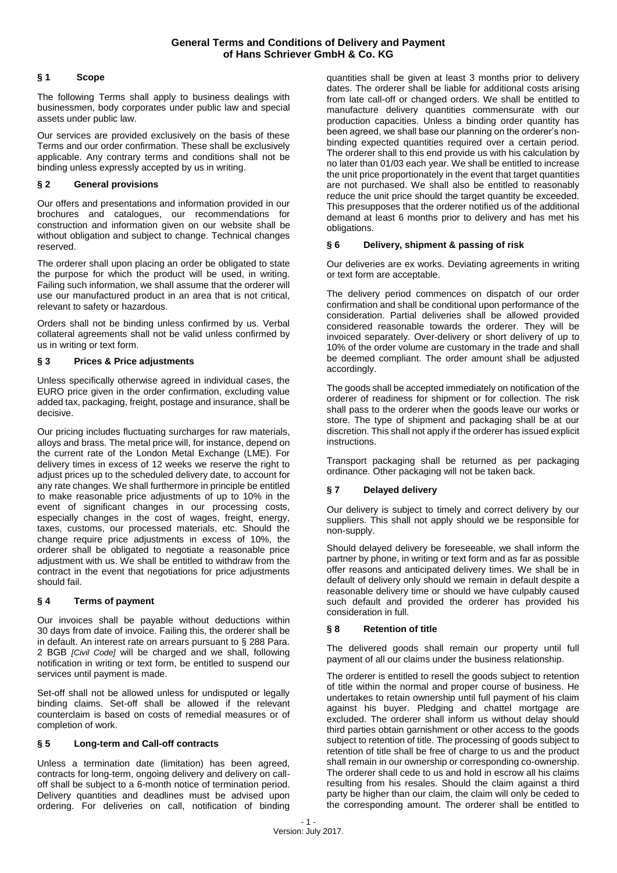# **§ 1 Scope**

The following Terms shall apply to business dealings with businessmen, body corporates under public law and special assets under public law.

Our services are provided exclusively on the basis of these Terms and our order confirmation. These shall be exclusively applicable. Any contrary terms and conditions shall not be binding unless expressly accepted by us in writing.

# **§ 2 General provisions**

Our offers and presentations and information provided in our brochures and catalogues, our recommendations for construction and information given on our website shall be without obligation and subject to change. Technical changes reserved.

The orderer shall upon placing an order be obligated to state the purpose for which the product will be used, in writing. Failing such information, we shall assume that the orderer will use our manufactured product in an area that is not critical, relevant to safety or hazardous.

Orders shall not be binding unless confirmed by us. Verbal collateral agreements shall not be valid unless confirmed by us in writing or text form.

# **§ 3 Prices & Price adjustments**

Unless specifically otherwise agreed in individual cases, the EURO price given in the order confirmation, excluding value added tax, packaging, freight, postage and insurance, shall be decisive.

Our pricing includes fluctuating surcharges for raw materials, alloys and brass. The metal price will, for instance, depend on the current rate of the London Metal Exchange (LME). For delivery times in excess of 12 weeks we reserve the right to adjust prices up to the scheduled delivery date, to account for any rate changes. We shall furthermore in principle be entitled to make reasonable price adjustments of up to 10% in the event of significant changes in our processing costs, especially changes in the cost of wages, freight, energy, taxes, customs, our processed materials, etc. Should the change require price adjustments in excess of 10%, the orderer shall be obligated to negotiate a reasonable price adjustment with us. We shall be entitled to withdraw from the contract in the event that negotiations for price adjustments should fail.

# **§ 4 Terms of payment**

Our invoices shall be payable without deductions within 30 days from date of invoice. Failing this, the orderer shall be in default. An interest rate on arrears pursuant to § 288 Para. 2 BGB *[Civil Code]* will be charged and we shall, following notification in writing or text form, be entitled to suspend our services until payment is made.

Set-off shall not be allowed unless for undisputed or legally binding claims. Set-off shall be allowed if the relevant counterclaim is based on costs of remedial measures or of completion of work.

# **§ 5 Long-term and Call-off contracts**

Unless a termination date (limitation) has been agreed, contracts for long-term, ongoing delivery and delivery on calloff shall be subject to a 6-month notice of termination period. Delivery quantities and deadlines must be advised upon ordering. For deliveries on call, notification of binding

quantities shall be given at least 3 months prior to delivery dates. The orderer shall be liable for additional costs arising from late call-off or changed orders. We shall be entitled to manufacture delivery quantities commensurate with our production capacities. Unless a binding order quantity has been agreed, we shall base our planning on the orderer's nonbinding expected quantities required over a certain period. The orderer shall to this end provide us with his calculation by no later than 01/03 each year. We shall be entitled to increase the unit price proportionately in the event that target quantities are not purchased. We shall also be entitled to reasonably reduce the unit price should the target quantity be exceeded. This presupposes that the orderer notified us of the additional demand at least 6 months prior to delivery and has met his obligations.

#### **§ 6 Delivery, shipment & passing of risk**

Our deliveries are ex works. Deviating agreements in writing or text form are acceptable.

The delivery period commences on dispatch of our order confirmation and shall be conditional upon performance of the consideration. Partial deliveries shall be allowed provided considered reasonable towards the orderer. They will be invoiced separately. Over-delivery or short delivery of up to 10% of the order volume are customary in the trade and shall be deemed compliant. The order amount shall be adjusted accordingly.

The goods shall be accepted immediately on notification of the orderer of readiness for shipment or for collection. The risk shall pass to the orderer when the goods leave our works or store. The type of shipment and packaging shall be at our discretion. This shall not apply if the orderer has issued explicit instructions.

Transport packaging shall be returned as per packaging ordinance. Other packaging will not be taken back.

# **§ 7 Delayed delivery**

Our delivery is subject to timely and correct delivery by our suppliers. This shall not apply should we be responsible for non-supply.

Should delayed delivery be foreseeable, we shall inform the partner by phone, in writing or text form and as far as possible offer reasons and anticipated delivery times. We shall be in default of delivery only should we remain in default despite a reasonable delivery time or should we have culpably caused such default and provided the orderer has provided his consideration in full.

# **§ 8 Retention of title**

The delivered goods shall remain our property until full payment of all our claims under the business relationship.

The orderer is entitled to resell the goods subject to retention of title within the normal and proper course of business. He undertakes to retain ownership until full payment of his claim against his buyer. Pledging and chattel mortgage are excluded. The orderer shall inform us without delay should third parties obtain garnishment or other access to the goods subject to retention of title. The processing of goods subject to retention of title shall be free of charge to us and the product shall remain in our ownership or corresponding co-ownership. The orderer shall cede to us and hold in escrow all his claims resulting from his resales. Should the claim against a third party be higher than our claim, the claim will only be ceded to the corresponding amount. The orderer shall be entitled to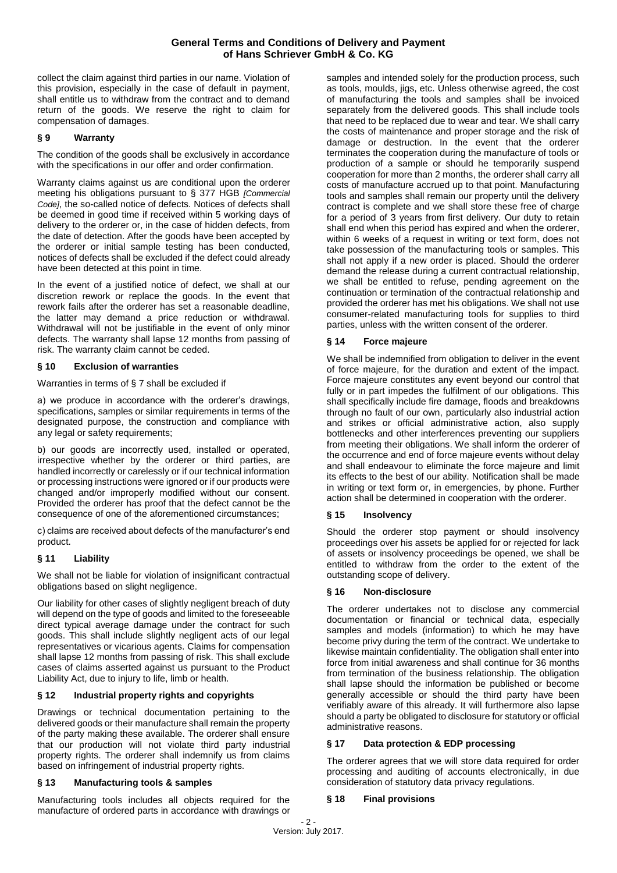collect the claim against third parties in our name. Violation of this provision, especially in the case of default in payment, shall entitle us to withdraw from the contract and to demand return of the goods. We reserve the right to claim for compensation of damages.

# **§ 9 Warranty**

The condition of the goods shall be exclusively in accordance with the specifications in our offer and order confirmation.

Warranty claims against us are conditional upon the orderer meeting his obligations pursuant to § 377 HGB *[Commercial Code]*, the so-called notice of defects. Notices of defects shall be deemed in good time if received within 5 working days of delivery to the orderer or, in the case of hidden defects, from the date of detection. After the goods have been accepted by the orderer or initial sample testing has been conducted, notices of defects shall be excluded if the defect could already have been detected at this point in time.

In the event of a justified notice of defect, we shall at our discretion rework or replace the goods. In the event that rework fails after the orderer has set a reasonable deadline, the latter may demand a price reduction or withdrawal. Withdrawal will not be justifiable in the event of only minor defects. The warranty shall lapse 12 months from passing of risk. The warranty claim cannot be ceded.

# **§ 10 Exclusion of warranties**

Warranties in terms of § 7 shall be excluded if

a) we produce in accordance with the orderer's drawings, specifications, samples or similar requirements in terms of the designated purpose, the construction and compliance with any legal or safety requirements;

b) our goods are incorrectly used, installed or operated, irrespective whether by the orderer or third parties, are handled incorrectly or carelessly or if our technical information or processing instructions were ignored or if our products were changed and/or improperly modified without our consent. Provided the orderer has proof that the defect cannot be the consequence of one of the aforementioned circumstances;

c) claims are received about defects of the manufacturer's end product.

# **§ 11 Liability**

We shall not be liable for violation of insignificant contractual obligations based on slight negligence.

Our liability for other cases of slightly negligent breach of duty will depend on the type of goods and limited to the foreseeable direct typical average damage under the contract for such goods. This shall include slightly negligent acts of our legal representatives or vicarious agents. Claims for compensation shall lapse 12 months from passing of risk. This shall exclude cases of claims asserted against us pursuant to the Product Liability Act, due to injury to life, limb or health.

# **§ 12 Industrial property rights and copyrights**

Drawings or technical documentation pertaining to the delivered goods or their manufacture shall remain the property of the party making these available. The orderer shall ensure that our production will not violate third party industrial property rights. The orderer shall indemnify us from claims based on infringement of industrial property rights.

# **§ 13 Manufacturing tools & samples**

Manufacturing tools includes all objects required for the manufacture of ordered parts in accordance with drawings or

samples and intended solely for the production process, such as tools, moulds, jigs, etc. Unless otherwise agreed, the cost of manufacturing the tools and samples shall be invoiced separately from the delivered goods. This shall include tools that need to be replaced due to wear and tear. We shall carry the costs of maintenance and proper storage and the risk of damage or destruction. In the event that the orderer terminates the cooperation during the manufacture of tools or production of a sample or should he temporarily suspend cooperation for more than 2 months, the orderer shall carry all costs of manufacture accrued up to that point. Manufacturing tools and samples shall remain our property until the delivery contract is complete and we shall store these free of charge for a period of 3 years from first delivery. Our duty to retain shall end when this period has expired and when the orderer, within 6 weeks of a request in writing or text form, does not take possession of the manufacturing tools or samples. This shall not apply if a new order is placed. Should the orderer demand the release during a current contractual relationship, we shall be entitled to refuse, pending agreement on the continuation or termination of the contractual relationship and provided the orderer has met his obligations. We shall not use consumer-related manufacturing tools for supplies to third parties, unless with the written consent of the orderer.

#### **§ 14 Force majeure**

We shall be indemnified from obligation to deliver in the event of force majeure, for the duration and extent of the impact. Force majeure constitutes any event beyond our control that fully or in part impedes the fulfilment of our obligations. This shall specifically include fire damage, floods and breakdowns through no fault of our own, particularly also industrial action and strikes or official administrative action, also supply bottlenecks and other interferences preventing our suppliers from meeting their obligations. We shall inform the orderer of the occurrence and end of force majeure events without delay and shall endeavour to eliminate the force majeure and limit its effects to the best of our ability. Notification shall be made in writing or text form or, in emergencies, by phone. Further action shall be determined in cooperation with the orderer.

# **§ 15 Insolvency**

Should the orderer stop payment or should insolvency proceedings over his assets be applied for or rejected for lack of assets or insolvency proceedings be opened, we shall be entitled to withdraw from the order to the extent of the outstanding scope of delivery.

#### **§ 16 Non-disclosure**

The orderer undertakes not to disclose any commercial documentation or financial or technical data, especially samples and models (information) to which he may have become privy during the term of the contract. We undertake to likewise maintain confidentiality. The obligation shall enter into force from initial awareness and shall continue for 36 months from termination of the business relationship. The obligation shall lapse should the information be published or become generally accessible or should the third party have been verifiably aware of this already. It will furthermore also lapse should a party be obligated to disclosure for statutory or official administrative reasons.

# **§ 17 Data protection & EDP processing**

The orderer agrees that we will store data required for order processing and auditing of accounts electronically, in due consideration of statutory data privacy regulations.

#### **§ 18 Final provisions**